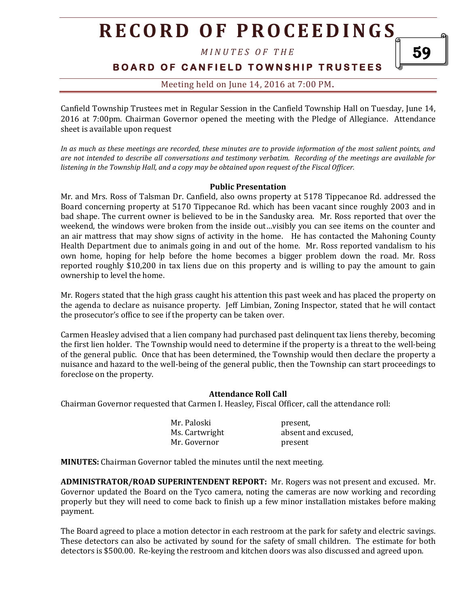# **R E C O R D O F P R O C E E D I N GS**

*M I N U T E S O F T H E* 

# **B O A R D O F C A N F I E L D T O W N S H I P T R U S T E E S**

59

# Meeting held on June 14, 2016 at 7:00 PM**.**

Canfield Township Trustees met in Regular Session in the Canfield Township Hall on Tuesday, June 14, 2016 at 7:00pm. Chairman Governor opened the meeting with the Pledge of Allegiance. Attendance sheet is available upon request

*In as much as these meetings are recorded, these minutes are to provide information of the most salient points, and are not intended to describe all conversations and testimony verbatim. Recording of the meetings are available for listening in the Township Hall, and a copy may be obtained upon request of the Fiscal Officer.* 

## **Public Presentation**

Mr. and Mrs. Ross of Talsman Dr. Canfield, also owns property at 5178 Tippecanoe Rd. addressed the Board concerning property at 5170 Tippecanoe Rd. which has been vacant since roughly 2003 and in bad shape. The current owner is believed to be in the Sandusky area. Mr. Ross reported that over the weekend, the windows were broken from the inside out…visibly you can see items on the counter and an air mattress that may show signs of activity in the home. He has contacted the Mahoning County Health Department due to animals going in and out of the home. Mr. Ross reported vandalism to his own home, hoping for help before the home becomes a bigger problem down the road. Mr. Ross reported roughly \$10,200 in tax liens due on this property and is willing to pay the amount to gain ownership to level the home.

Mr. Rogers stated that the high grass caught his attention this past week and has placed the property on the agenda to declare as nuisance property. Jeff Limbian, Zoning Inspector, stated that he will contact the prosecutor's office to see if the property can be taken over.

Carmen Heasley advised that a lien company had purchased past delinquent tax liens thereby, becoming the first lien holder. The Township would need to determine if the property is a threat to the well-being of the general public. Once that has been determined, the Township would then declare the property a nuisance and hazard to the well-being of the general public, then the Township can start proceedings to foreclose on the property.

## **Attendance Roll Call**

Chairman Governor requested that Carmen I. Heasley, Fiscal Officer, call the attendance roll:

| Mr. Paloski    | present,            |
|----------------|---------------------|
| Ms. Cartwright | absent and excused, |
| Mr. Governor   | present             |

**MINUTES:** Chairman Governor tabled the minutes until the next meeting.

**ADMINISTRATOR/ROAD SUPERINTENDENT REPORT:** Mr. Rogers was not present and excused. Mr. Governor updated the Board on the Tyco camera, noting the cameras are now working and recording properly but they will need to come back to finish up a few minor installation mistakes before making payment.

The Board agreed to place a motion detector in each restroom at the park for safety and electric savings. These detectors can also be activated by sound for the safety of small children. The estimate for both detectors is \$500.00. Re-keying the restroom and kitchen doors was also discussed and agreed upon.